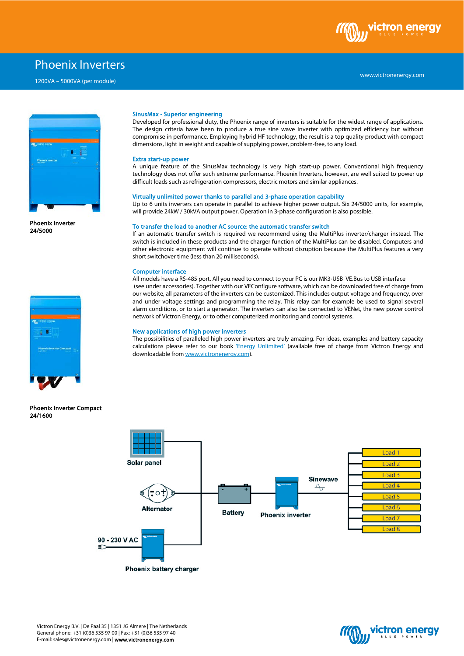

# Phoenix Inverters

1200VA – 5000VA (per module)



Phoenix Inverter 24/5000



Phoenix Inverter Compact 24/1600

## SinusMax - Superior engineering

Developed for professional duty, the Phoenix range of inverters is suitable for the widest range of applications. The design criteria have been to produce a true sine wave inverter with optimized efficiency but without compromise in performance. Employing hybrid HF technology, the result is a top quality product with compact dimensions, light in weight and capable of supplying power, problem-free, to any load.

### Extra start-up power

A unique feature of the SinusMax technology is very high start-up power. Conventional high frequency technology does not offer such extreme performance. Phoenix Inverters, however, are well suited to power up difficult loads such as refrigeration compressors, electric motors and similar appliances.

### Virtually unlimited power thanks to parallel and 3-phase operation capability

Up to 6 units inverters can operate in parallel to achieve higher power output. Six 24/5000 units, for example, will provide 24kW / 30kVA output power. Operation in 3-phase configuration is also possible.

#### To transfer the load to another AC source: the automatic transfer switch

If an automatic transfer switch is required we recommend using the MultiPlus inverter/charger instead. The switch is included in these products and the charger function of the MultiPlus can be disabled. Computers and other electronic equipment will continue to operate without disruption because the MultiPlus features a very short switchover time (less than 20 milliseconds).

### Computer interface

All models have a RS-485 port. All you need to connect to your PC is our MK3-USB VE.Bus to USB interface (see under accessories). Together with our VEConfigure software, which can be downloaded free of charge from our website, all parameters of the inverters can be customized. This includes output voltage and frequency, over and under voltage settings and programming the relay. This relay can for example be used to signal several alarm conditions, or to start a generator. The inverters can also be connected to VENet, the new power control network of Victron Energy, or to other computerized monitoring and control systems.

### New applications of high power inverters

The possibilities of paralleled high power inverters are truly amazing. For ideas, examples and battery capacity calculations please refer to our book 'Energy Unlimited' (available free of charge from Victron Energy and downloadable fro[m www.victronenergy.com\)](http://www.victronenergy.com/).